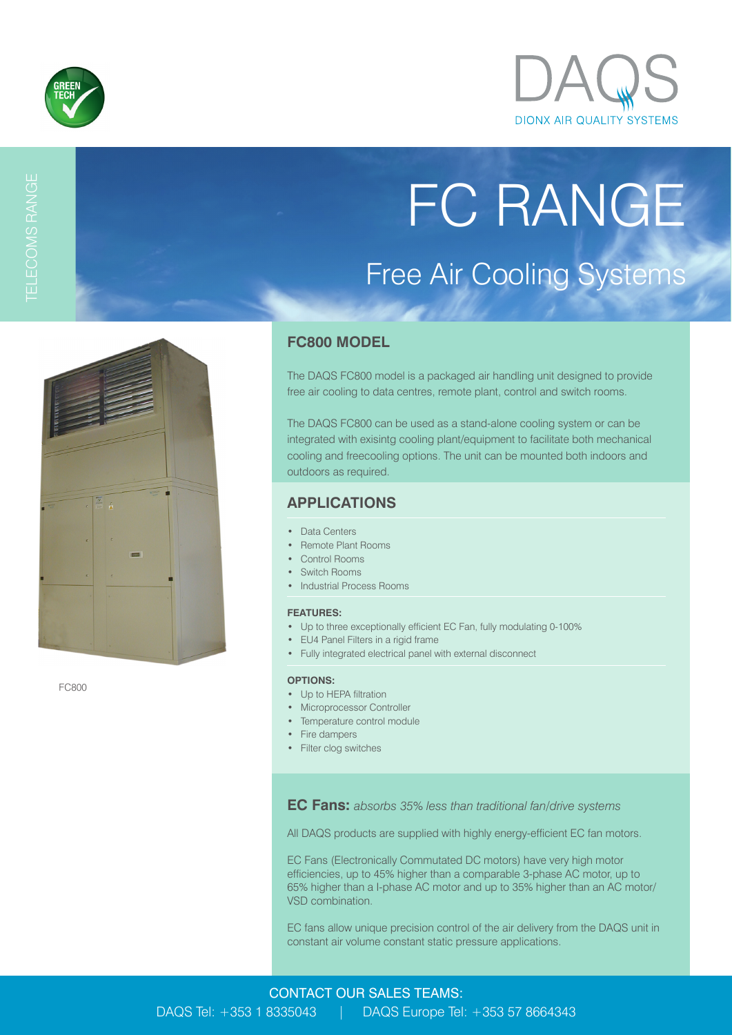



FC RANGE

Free Air Cooling Systems



FC800

### **FC800 MODEL**

The DAQS FC800 model is a packaged air handling unit designed to provide free air cooling to data centres, remote plant, control and switch rooms.

The DAQS FC800 can be used as a stand-alone cooling system or can be integrated with exisintg cooling plant/equipment to facilitate both mechanical cooling and freecooling options. The unit can be mounted both indoors and outdoors as required.

## **APPLICATIONS**

- Data Centers
- Remote Plant Rooms
- Control Rooms
- Switch Rooms
- Industrial Process Rooms

#### **FEATURES:**

- Up to three exceptionally efficient EC Fan, fully modulating 0-100%
- EU4 Panel Filters in a rigid frame
- Fully integrated electrical panel with external disconnect

#### **OPTIONS:**

- Up to HEPA filtration
- Microprocessor Controller
- Temperature control module
- Fire dampers
- Filter clog switches

**EC Fans:** *absorbs 35% less than traditional fan/drive systems*

All DAQS products are supplied with highly energy-efficient EC fan motors.

EC Fans (Electronically Commutated DC motors) have very high motor efficiencies, up to 45% higher than a comparable 3-phase AC motor, up to 65% higher than a I-phase AC motor and up to 35% higher than an AC motor/ VSD combination.

EC fans allow unique precision control of the air delivery from the DAQS unit in constant air volume constant static pressure applications.